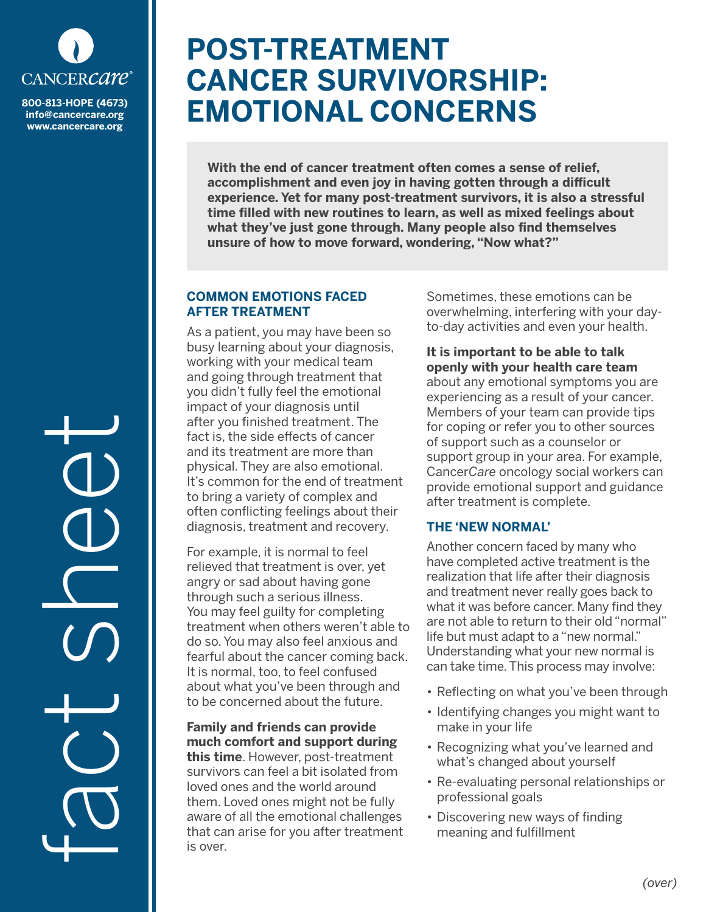

**info@cancercare.org www.cancercare.org**

fact see

# **POST-TREATMENT CANCER SURVIVORSHIP: EMOTIONAL CONCERNS**

**With the end of cancer treatment often comes a sense of relief, accomplishment and even joy in having gotten through a difficult experience. Yet for many post-treatment survivors, it is also a stressful time filled with new routines to learn, as well as mixed feelings about what they've just gone through. Many people also find themselves unsure of how to move forward, wondering, "Now what?"**

#### **COMMON EMOTIONS FACED AFTER TREATMENT**

As a patient, you may have been so busy learning about your diagnosis, working with your medical team and going through treatment that you didn't fully feel the emotional impact of your diagnosis until after you finished treatment. The fact is, the side effects of cancer and its treatment are more than physical. They are also emotional. It's common for the end of treatment to bring a variety of complex and often conflicting feelings about their diagnosis, treatment and recovery.

For example, it is normal to feel relieved that treatment is over, yet angry or sad about having gone through such a serious illness. You may feel guilty for completing treatment when others weren't able to do so. You may also feel anxious and fearful about the cancer coming back. It is normal, too, to feel confused about what you've been through and to be concerned about the future.

## **Family and friends can provide much comfort and support during**

**this time**. However, post-treatment survivors can feel a bit isolated from loved ones and the world around them. Loved ones might not be fully aware of all the emotional challenges that can arise for you after treatment is over.

Sometimes, these emotions can be overwhelming, interfering with your dayto-day activities and even your health.

### **It is important to be able to talk openly with your health care team**

about any emotional symptoms you are experiencing as a result of your cancer. Members of your team can provide tips for coping or refer you to other sources of support such as a counselor or support group in your area. For example, Cancer*Care* oncology social workers can provide emotional support and guidance after treatment is complete.

## **THE 'NEW NORMAL'**

Another concern faced by many who have completed active treatment is the realization that life after their diagnosis and treatment never really goes back to what it was before cancer. Many find they are not able to return to their old "normal" life but must adapt to a "new normal." Understanding what your new normal is can take time. This process may involve:

- Reflecting on what you've been through
- Identifying changes you might want to make in your life
- Recognizing what you've learned and what's changed about yourself
- Re-evaluating personal relationships or professional goals
- Discovering new ways of finding meaning and fulfillment